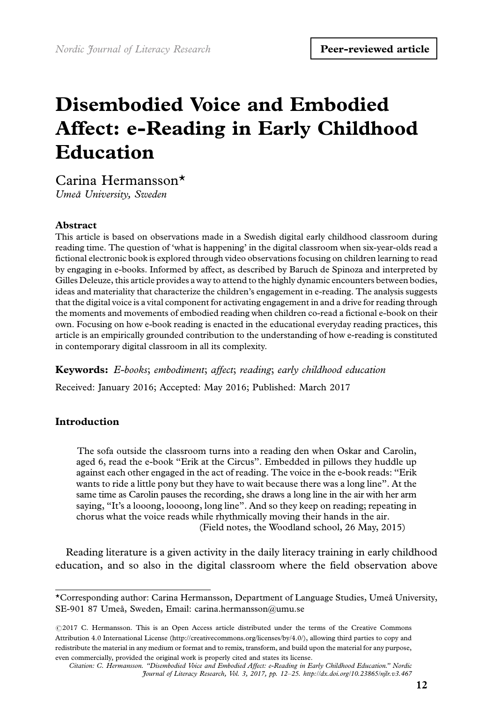# Disembodied Voice and Embodied Affect: e-Reading in Early Childhood Education

Carina Hermansson\*

Umea˚ University, Sweden

#### Abstract

This article is based on observations made in a Swedish digital early childhood classroom during reading time. The question of 'what is happening' in the digital classroom when six-year-olds read a fictional electronic book is explored through video observations focusing on children learning to read by engaging in e-books. Informed by affect, as described by Baruch de Spinoza and interpreted by Gilles Deleuze, this article provides a way to attend to the highly dynamic encounters between bodies, ideas and materiality that characterize the children's engagement in e-reading. The analysis suggests that the digital voice is a vital component for activating engagement in and a drive for reading through the moments and movements of embodied reading when children co-read a fictional e-book on their own. Focusing on how e-book reading is enacted in the educational everyday reading practices, this article is an empirically grounded contribution to the understanding of how e-reading is constituted in contemporary digital classroom in all its complexity.

Keywords: E-books; embodiment; affect; reading; early childhood education

Received: January 2016; Accepted: May 2016; Published: March 2017

# Introduction

The sofa outside the classroom turns into a reading den when Oskar and Carolin, aged 6, read the e-book ''Erik at the Circus''. Embedded in pillows they huddle up against each other engaged in the act of reading. The voice in the e-book reads: ''Erik wants to ride a little pony but they have to wait because there was a long line''. At the same time as Carolin pauses the recording, she draws a long line in the air with her arm saying, ''It's a looong, loooong, long line''. And so they keep on reading; repeating in chorus what the voice reads while rhythmically moving their hands in the air. (Field notes, the Woodland school, 26 May, 2015)

Reading literature is a given activity in the daily literacy training in early childhood education, and so also in the digital classroom where the field observation above

<sup>\*</sup>Corresponding author: Carina Hermansson, Department of Language Studies, Umea˚ University, SE-901 87 Umeå, Sweden, Email: carina.hermansson@umu.se

<sup>©2017</sup> C. Hermansson. This is an Open Access article distributed under the terms of the Creative Commons Attribution 4.0 International License (http://creativecommons.org/licenses/by/4.0/), allowing third parties to copy and redistribute the material in any medium or format and to remix, transform, and build upon the material for any purpose, even commercially, provided the original work is properly cited and states its license.

Citation: C. Hermansson. ''Disembodied Voice and Embodied Affect: e-Reading in Early Childhood Education.'' Nordic Journal of Literacy Research, Vol. 3, 2017, pp. 12-25. http://dx.doi.org/10.23865/njlr.v3.467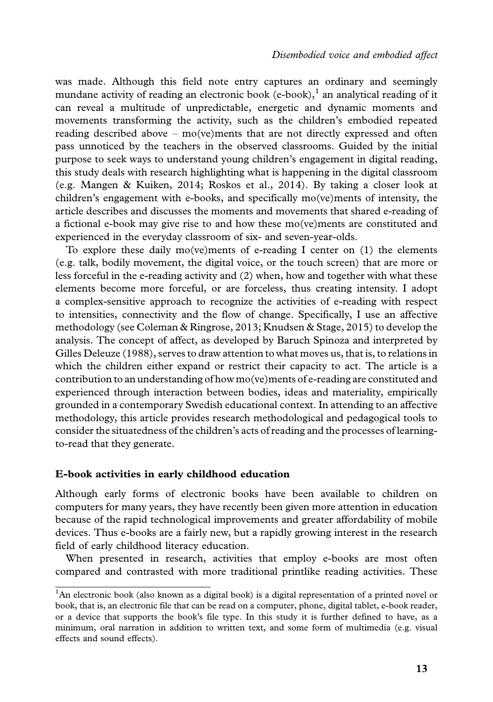was made. Although this field note entry captures an ordinary and seemingly mundane activity of reading an electronic book (e-book), $\frac{1}{1}$  an analytical reading of it can reveal a multitude of unpredictable, energetic and dynamic moments and movements transforming the activity, such as the children's embodied repeated reading described above - mo(ve)ments that are not directly expressed and often pass unnoticed by the teachers in the observed classrooms. Guided by the initial purpose to seek ways to understand young children's engagement in digital reading, this study deals with research highlighting what is happening in the digital classroom (e.g. Mangen & Kuiken, 2014; Roskos et al., 2014). By taking a closer look at children's engagement with e-books, and specifically mo(ve)ments of intensity, the article describes and discusses the moments and movements that shared e-reading of a fictional e-book may give rise to and how these mo(ve)ments are constituted and experienced in the everyday classroom of six- and seven-year-olds.

To explore these daily mo(ve)ments of e-reading I center on  $(1)$  the elements (e.g. talk, bodily movement, the digital voice, or the touch screen) that are more or less forceful in the e-reading activity and (2) when, how and together with what these elements become more forceful, or are forceless, thus creating intensity. I adopt a complex-sensitive approach to recognize the activities of e-reading with respect to intensities, connectivity and the flow of change. Specifically, I use an affective methodology (see Coleman & Ringrose, 2013; Knudsen & Stage, 2015) to develop the analysis. The concept of affect, as developed by Baruch Spinoza and interpreted by Gilles Deleuze (1988), serves to draw attention to what moves us, that is, to relations in which the children either expand or restrict their capacity to act. The article is a contribution to an understanding of how mo(ve)ments of e-reading are constituted and experienced through interaction between bodies, ideas and materiality, empirically grounded in a contemporary Swedish educational context. In attending to an affective methodology, this article provides research methodological and pedagogical tools to consider the situatedness of the children's acts of reading and the processes of learningto-read that they generate.

#### E-book activities in early childhood education

Although early forms of electronic books have been available to children on computers for many years, they have recently been given more attention in education because of the rapid technological improvements and greater affordability of mobile devices. Thus e-books are a fairly new, but a rapidly growing interest in the research field of early childhood literacy education.

When presented in research, activities that employ e-books are most often compared and contrasted with more traditional printlike reading activities. These

<sup>&</sup>lt;sup>1</sup>An electronic book (also known as a digital book) is a digital representation of a printed novel or book, that is, an electronic file that can be read on a computer, phone, digital tablet, e-book reader, or a device that supports the book's file type. In this study it is further defined to have, as a minimum, oral narration in addition to written text, and some form of multimedia (e.g. visual effects and sound effects).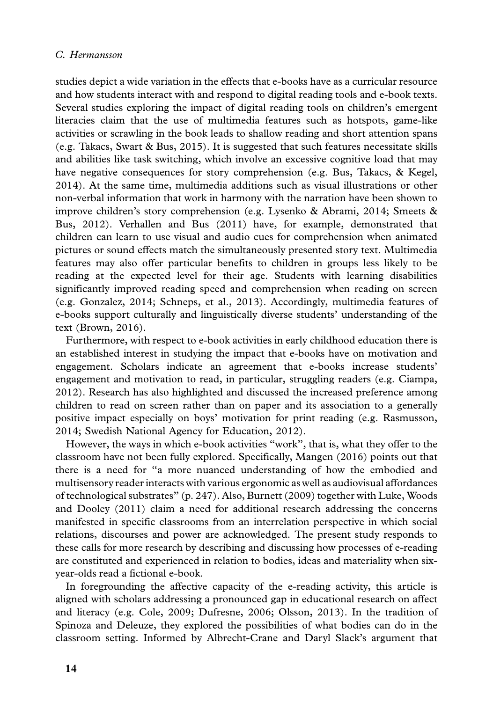studies depict a wide variation in the effects that e-books have as a curricular resource and how students interact with and respond to digital reading tools and e-book texts. Several studies exploring the impact of digital reading tools on children's emergent literacies claim that the use of multimedia features such as hotspots, game-like activities or scrawling in the book leads to shallow reading and short attention spans (e.g. Takacs, Swart & Bus, 2015). It is suggested that such features necessitate skills and abilities like task switching, which involve an excessive cognitive load that may have negative consequences for story comprehension (e.g. Bus, Takacs, & Kegel, 2014). At the same time, multimedia additions such as visual illustrations or other non-verbal information that work in harmony with the narration have been shown to improve children's story comprehension (e.g. Lysenko & Abrami, 2014; Smeets & Bus, 2012). Verhallen and Bus (2011) have, for example, demonstrated that children can learn to use visual and audio cues for comprehension when animated pictures or sound effects match the simultaneously presented story text. Multimedia features may also offer particular benefits to children in groups less likely to be reading at the expected level for their age. Students with learning disabilities significantly improved reading speed and comprehension when reading on screen (e.g. Gonzalez, 2014; Schneps, et al., 2013). Accordingly, multimedia features of e-books support culturally and linguistically diverse students' understanding of the text (Brown, 2016).

Furthermore, with respect to e-book activities in early childhood education there is an established interest in studying the impact that e-books have on motivation and engagement. Scholars indicate an agreement that e-books increase students' engagement and motivation to read, in particular, struggling readers (e.g. Ciampa, 2012). Research has also highlighted and discussed the increased preference among children to read on screen rather than on paper and its association to a generally positive impact especially on boys' motivation for print reading (e.g. Rasmusson, 2014; Swedish National Agency for Education, 2012).

However, the ways in which e-book activities ''work'', that is, what they offer to the classroom have not been fully explored. Specifically, Mangen (2016) points out that there is a need for ''a more nuanced understanding of how the embodied and multisensory reader interacts with various ergonomic as well as audiovisual affordances of technological substrates'' (p. 247). Also, Burnett (2009) together with Luke, Woods and Dooley (2011) claim a need for additional research addressing the concerns manifested in specific classrooms from an interrelation perspective in which social relations, discourses and power are acknowledged. The present study responds to these calls for more research by describing and discussing how processes of e-reading are constituted and experienced in relation to bodies, ideas and materiality when sixyear-olds read a fictional e-book.

In foregrounding the affective capacity of the e-reading activity, this article is aligned with scholars addressing a pronounced gap in educational research on affect and literacy (e.g. Cole, 2009; Dufresne, 2006; Olsson, 2013). In the tradition of Spinoza and Deleuze, they explored the possibilities of what bodies can do in the classroom setting. Informed by Albrecht-Crane and Daryl Slack's argument that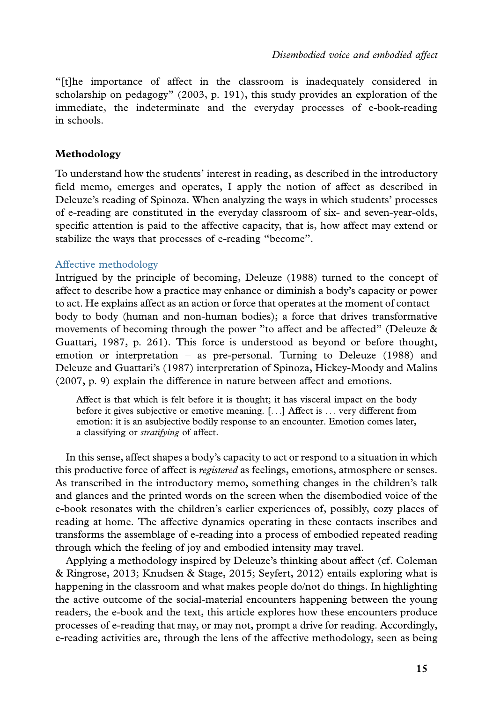''[t]he importance of affect in the classroom is inadequately considered in scholarship on pedagogy'' (2003, p. 191), this study provides an exploration of the immediate, the indeterminate and the everyday processes of e-book-reading in schools.

# Methodology

To understand how the students' interest in reading, as described in the introductory field memo, emerges and operates, I apply the notion of affect as described in Deleuze's reading of Spinoza. When analyzing the ways in which students' processes of e-reading are constituted in the everyday classroom of six- and seven-year-olds, specific attention is paid to the affective capacity, that is, how affect may extend or stabilize the ways that processes of e-reading ''become''.

#### Affective methodology

Intrigued by the principle of becoming, Deleuze (1988) turned to the concept of affect to describe how a practice may enhance or diminish a body's capacity or power to act. He explains affect as an action or force that operates at the moment of contact body to body (human and non-human bodies); a force that drives transformative movements of becoming through the power "to affect and be affected" (Deleuze  $\&$ Guattari, 1987, p. 261). This force is understood as beyond or before thought, emotion or interpretation - as pre-personal. Turning to Deleuze (1988) and Deleuze and Guattari's (1987) interpretation of Spinoza, Hickey-Moody and Malins (2007, p. 9) explain the difference in nature between affect and emotions.

Affect is that which is felt before it is thought; it has visceral impact on the body before it gives subjective or emotive meaning. [...] Affect is ... very different from emotion: it is an asubjective bodily response to an encounter. Emotion comes later, a classifying or stratifying of affect.

In this sense, affect shapes a body's capacity to act or respond to a situation in which this productive force of affect is *registered* as feelings, emotions, atmosphere or senses. As transcribed in the introductory memo, something changes in the children's talk and glances and the printed words on the screen when the disembodied voice of the e-book resonates with the children's earlier experiences of, possibly, cozy places of reading at home. The affective dynamics operating in these contacts inscribes and transforms the assemblage of e-reading into a process of embodied repeated reading through which the feeling of joy and embodied intensity may travel.

Applying a methodology inspired by Deleuze's thinking about affect (cf. Coleman & Ringrose, 2013; Knudsen & Stage, 2015; Seyfert, 2012) entails exploring what is happening in the classroom and what makes people do/not do things. In highlighting the active outcome of the social-material encounters happening between the young readers, the e-book and the text, this article explores how these encounters produce processes of e-reading that may, or may not, prompt a drive for reading. Accordingly, e-reading activities are, through the lens of the affective methodology, seen as being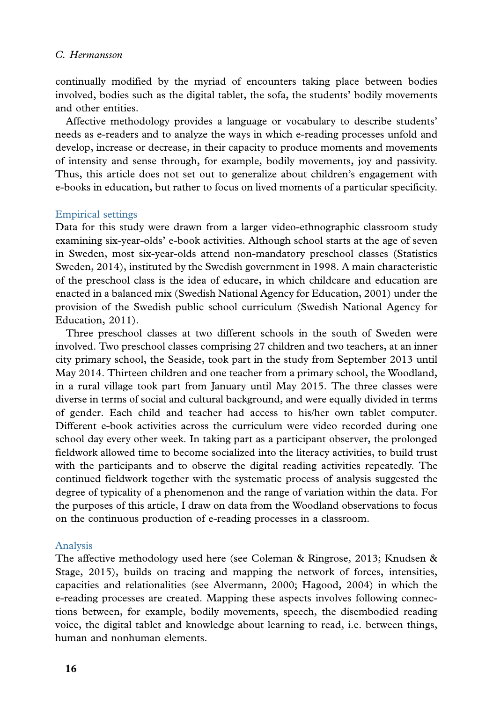continually modified by the myriad of encounters taking place between bodies involved, bodies such as the digital tablet, the sofa, the students' bodily movements and other entities.

Affective methodology provides a language or vocabulary to describe students' needs as e-readers and to analyze the ways in which e-reading processes unfold and develop, increase or decrease, in their capacity to produce moments and movements of intensity and sense through, for example, bodily movements, joy and passivity. Thus, this article does not set out to generalize about children's engagement with e-books in education, but rather to focus on lived moments of a particular specificity.

# Empirical settings

Data for this study were drawn from a larger video-ethnographic classroom study examining six-year-olds' e-book activities. Although school starts at the age of seven in Sweden, most six-year-olds attend non-mandatory preschool classes (Statistics Sweden, 2014), instituted by the Swedish government in 1998. A main characteristic of the preschool class is the idea of educare, in which childcare and education are enacted in a balanced mix (Swedish National Agency for Education, 2001) under the provision of the Swedish public school curriculum (Swedish National Agency for Education, 2011).

Three preschool classes at two different schools in the south of Sweden were involved. Two preschool classes comprising 27 children and two teachers, at an inner city primary school, the Seaside, took part in the study from September 2013 until May 2014. Thirteen children and one teacher from a primary school, the Woodland, in a rural village took part from January until May 2015. The three classes were diverse in terms of social and cultural background, and were equally divided in terms of gender. Each child and teacher had access to his/her own tablet computer. Different e-book activities across the curriculum were video recorded during one school day every other week. In taking part as a participant observer, the prolonged fieldwork allowed time to become socialized into the literacy activities, to build trust with the participants and to observe the digital reading activities repeatedly. The continued fieldwork together with the systematic process of analysis suggested the degree of typicality of a phenomenon and the range of variation within the data. For the purposes of this article, I draw on data from the Woodland observations to focus on the continuous production of e-reading processes in a classroom.

#### Analysis

The affective methodology used here (see Coleman & Ringrose, 2013; Knudsen & Stage, 2015), builds on tracing and mapping the network of forces, intensities, capacities and relationalities (see Alvermann, 2000; Hagood, 2004) in which the e-reading processes are created. Mapping these aspects involves following connections between, for example, bodily movements, speech, the disembodied reading voice, the digital tablet and knowledge about learning to read, i.e. between things, human and nonhuman elements.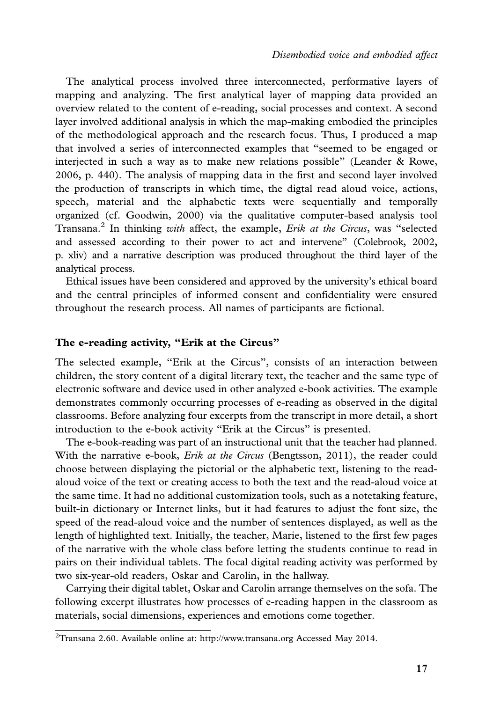The analytical process involved three interconnected, performative layers of mapping and analyzing. The first analytical layer of mapping data provided an overview related to the content of e-reading, social processes and context. A second layer involved additional analysis in which the map-making embodied the principles of the methodological approach and the research focus. Thus, I produced a map that involved a series of interconnected examples that ''seemed to be engaged or interjected in such a way as to make new relations possible'' (Leander & Rowe, 2006, p. 440). The analysis of mapping data in the first and second layer involved the production of transcripts in which time, the digtal read aloud voice, actions, speech, material and the alphabetic texts were sequentially and temporally organized (cf. Goodwin, 2000) via the qualitative computer-based analysis tool Transana.<sup>2</sup> In thinking with affect, the example, *Erik at the Circus*, was "selected and assessed according to their power to act and intervene'' (Colebrook, 2002, p. xliv) and a narrative description was produced throughout the third layer of the analytical process.

Ethical issues have been considered and approved by the university's ethical board and the central principles of informed consent and confidentiality were ensured throughout the research process. All names of participants are fictional.

#### The e-reading activity, "Erik at the Circus"

The selected example, ''Erik at the Circus'', consists of an interaction between children, the story content of a digital literary text, the teacher and the same type of electronic software and device used in other analyzed e-book activities. The example demonstrates commonly occurring processes of e-reading as observed in the digital classrooms. Before analyzing four excerpts from the transcript in more detail, a short introduction to the e-book activity ''Erik at the Circus'' is presented.

The e-book-reading was part of an instructional unit that the teacher had planned. With the narrative e-book, *Erik at the Circus* (Bengtsson, 2011), the reader could choose between displaying the pictorial or the alphabetic text, listening to the readaloud voice of the text or creating access to both the text and the read-aloud voice at the same time. It had no additional customization tools, such as a notetaking feature, built-in dictionary or Internet links, but it had features to adjust the font size, the speed of the read-aloud voice and the number of sentences displayed, as well as the length of highlighted text. Initially, the teacher, Marie, listened to the first few pages of the narrative with the whole [class before letting th](http://www.transana.org)e students continue to read in pairs on their individual tablets. The focal digital reading activity was performed by two six-year-old readers, Oskar and Carolin, in the hallway.

Carrying their digital tablet, Oskar and Carolin arrange themselves on the sofa. The following excerpt illustrates how processes of e-reading happen in the classroom as materials, social dimensions, experiences and emotions come together.

 $^{2}$ Transana 2.60. Available online at: http://www.transana.org Accessed May 2014.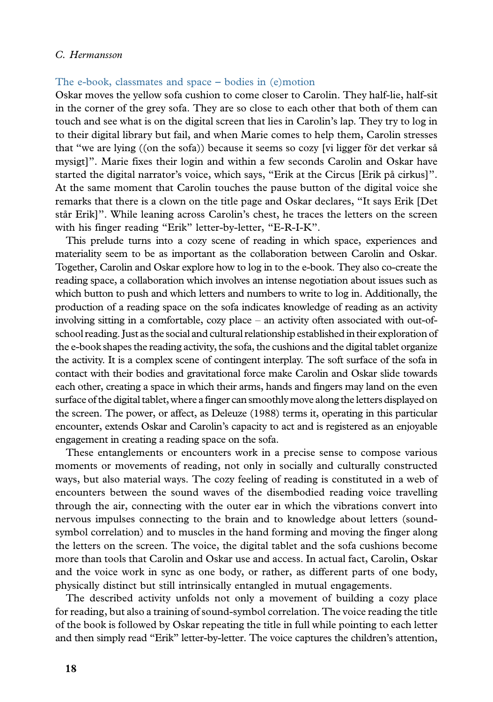# The e-book, classmates and space - bodies in (e)motion

Oskar moves the yellow sofa cushion to come closer to Carolin. They half-lie, half-sit in the corner of the grey sofa. They are so close to each other that both of them can touch and see what is on the digital screen that lies in Carolin's lap. They try to log in to their digital library but fail, and when Marie comes to help them, Carolin stresses that "we are lying  $((\text{on the soft})$  because it seems so cozy [vi ligger för det verkar så mysigt]''. Marie fixes their login and within a few seconds Carolin and Oskar have started the digital narrator's voice, which says, "Erik at the Circus [Erik på cirkus]". At the same moment that Carolin touches the pause button of the digital voice she remarks that there is a clown on the title page and Oskar declares, ''It says Erik [Det står Erik]". While leaning across Carolin's chest, he traces the letters on the screen with his finger reading "Erik" letter-by-letter, "E-R-I-K".

This prelude turns into a cozy scene of reading in which space, experiences and materiality seem to be as important as the collaboration between Carolin and Oskar. Together, Carolin and Oskar explore how to log in to the e-book. They also co-create the reading space, a collaboration which involves an intense negotiation about issues such as which button to push and which letters and numbers to write to log in. Additionally, the production of a reading space on the sofa indicates knowledge of reading as an activity involving sitting in a comfortable, cozy place - an activity often associated with out-ofschool reading. Just as the social and cultural relationship established in their exploration of the e-book shapes the reading activity, the sofa, the cushions and the digital tablet organize the activity. It is a complex scene of contingent interplay. The soft surface of the sofa in contact with their bodies and gravitational force make Carolin and Oskar slide towards each other, creating a space in which their arms, hands and fingers may land on the even surface of the digital tablet, where a finger can smoothly move along the letters displayed on the screen. The power, or affect, as Deleuze (1988) terms it, operating in this particular encounter, extends Oskar and Carolin's capacity to act and is registered as an enjoyable engagement in creating a reading space on the sofa.

These entanglements or encounters work in a precise sense to compose various moments or movements of reading, not only in socially and culturally constructed ways, but also material ways. The cozy feeling of reading is constituted in a web of encounters between the sound waves of the disembodied reading voice travelling through the air, connecting with the outer ear in which the vibrations convert into nervous impulses connecting to the brain and to knowledge about letters (soundsymbol correlation) and to muscles in the hand forming and moving the finger along the letters on the screen. The voice, the digital tablet and the sofa cushions become more than tools that Carolin and Oskar use and access. In actual fact, Carolin, Oskar and the voice work in sync as one body, or rather, as different parts of one body, physically distinct but still intrinsically entangled in mutual engagements.

The described activity unfolds not only a movement of building a cozy place for reading, but also a training of sound-symbol correlation. The voice reading the title of the book is followed by Oskar repeating the title in full while pointing to each letter and then simply read ''Erik'' letter-by-letter. The voice captures the children's attention,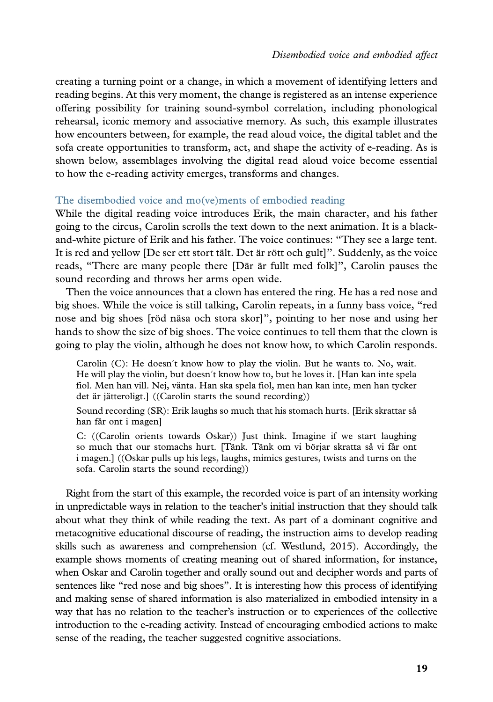creating a turning point or a change, in which a movement of identifying letters and reading begins. At this very moment, the change is registered as an intense experience offering possibility for training sound-symbol correlation, including phonological rehearsal, iconic memory and associative memory. As such, this example illustrates how encounters between, for example, the read aloud voice, the digital tablet and the sofa create opportunities to transform, act, and shape the activity of e-reading. As is shown below, assemblages involving the digital read aloud voice become essential to how the e-reading activity emerges, transforms and changes.

#### The disembodied voice and mo(ve)ments of embodied reading

While the digital reading voice introduces Erik, the main character, and his father going to the circus, Carolin scrolls the text down to the next animation. It is a blackand-white picture of Erik and his father. The voice continues: ''They see a large tent. It is red and yellow [De ser ett stort tält. Det är rött och gult]". Suddenly, as the voice reads, "There are many people there [Där är fullt med folk]", Carolin pauses the sound recording and throws her arms open wide.

Then the voice announces that a clown has entered the ring. He has a red nose and big shoes. While the voice is still talking, Carolin repeats, in a funny bass voice, ''red nose and big shoes [röd näsa och stora skor]", pointing to her nose and using her hands to show the size of big shoes. The voice continues to tell them that the clown is going to play the violin, although he does not know how, to which Carolin responds.

Carolin  $(C)$ : He doesn't know how to play the violin. But he wants to. No, wait. He will play the violin, but doesn't know how to, but he loves it. [Han kan inte spela fiol. Men han vill. Nej, vänta. Han ska spela fiol, men han kan inte, men han tycker det är jätteroligt.] ((Carolin starts the sound recording))

Sound recording (SR): Erik laughs so much that his stomach hurts. [Erik skrattar så han får ont i magen]

C: ((Carolin orients towards Oskar)) Just think. Imagine if we start laughing so much that our stomachs hurt. [Tänk. Tänk om vi börjar skratta så vi får ont i magen.] ((Oskar pulls up his legs, laughs, mimics gestures, twists and turns on the sofa. Carolin starts the sound recording))

Right from the start of this example, the recorded voice is part of an intensity working in unpredictable ways in relation to the teacher's initial instruction that they should talk about what they think of while reading the text. As part of a dominant cognitive and metacognitive educational discourse of reading, the instruction aims to develop reading skills such as awareness and comprehension (cf. Westlund, 2015). Accordingly, the example shows moments of creating meaning out of shared information, for instance, when Oskar and Carolin together and orally sound out and decipher words and parts of sentences like "red nose and big shoes". It is interesting how this process of identifying and making sense of shared information is also materialized in embodied intensity in a way that has no relation to the teacher's instruction or to experiences of the collective introduction to the e-reading activity. Instead of encouraging embodied actions to make sense of the reading, the teacher suggested cognitive associations.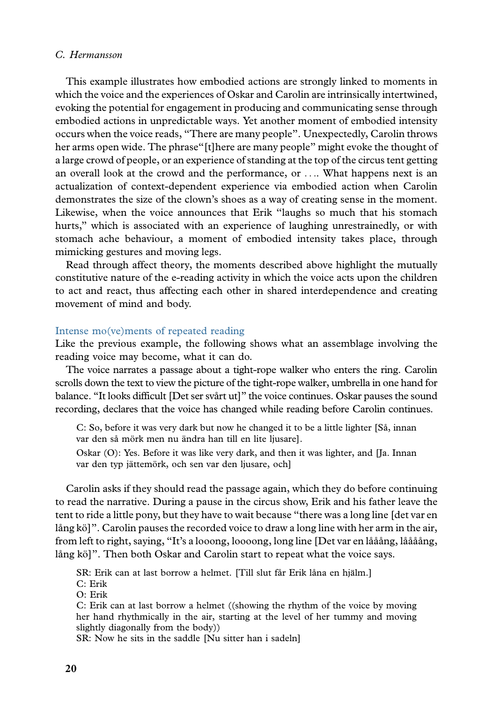This example illustrates how embodied actions are strongly linked to moments in which the voice and the experiences of Oskar and Carolin are intrinsically intertwined, evoking the potential for engagement in producing and communicating sense through embodied actions in unpredictable ways. Yet another moment of embodied intensity occurs when the voice reads, ''There are many people''. Unexpectedly, Carolin throws her arms open wide. The phrase''[t]here are many people'' might evoke the thought of a large crowd of people, or an experience of standing at the top of the circus tent getting an overall look at the crowd and the performance, or .... What happens next is an actualization of context-dependent experience via embodied action when Carolin demonstrates the size of the clown's shoes as a way of creating sense in the moment. Likewise, when the voice announces that Erik ''laughs so much that his stomach hurts,'' which is associated with an experience of laughing unrestrainedly, or with stomach ache behaviour, a moment of embodied intensity takes place, through mimicking gestures and moving legs.

Read through affect theory, the moments described above highlight the mutually constitutive nature of the e-reading activity in which the voice acts upon the children to act and react, thus affecting each other in shared interdependence and creating movement of mind and body.

# Intense mo(ve)ments of repeated reading

Like the previous example, the following shows what an assemblage involving the reading voice may become, what it can do.

The voice narrates a passage about a tight-rope walker who enters the ring. Carolin scrolls down the text to view the picture of the tight-rope walker, umbrella in one hand for balance. "It looks difficult [Det ser svårt ut]" the voice continues. Oskar pauses the sound recording, declares that the voice has changed while reading before Carolin continues.

C: So, before it was very dark but now he changed it to be a little lighter [Så, innan var den så mörk men nu ändra han till en lite ljusare].

Oskar (O): Yes. Before it was like very dark, and then it was lighter, and [Ja. Innan var den typ jättemörk, och sen var den ljusare, och]

Carolin asks if they should read the passage again, which they do before continuing to read the narrative. During a pause in the circus show, Erik and his father leave the tent to ride a little pony, but they have to wait because ''there was a long line [det var en lång kö]". Carolin pauses the recorded voice to draw a long line with her arm in the air, from left to right, saying, "It's a looong, loooong, long line [Det var en lååång, låååång, lång kö]". Then both Oskar and Carolin start to repeat what the voice says.

SR: Erik can at last borrow a helmet. [Till slut får Erik låna en hjälm.]

C: Erik O: Erik

C: Erik can at last borrow a helmet ((showing the rhythm of the voice by moving her hand rhythmically in the air, starting at the level of her tummy and moving slightly diagonally from the body))

SR: Now he sits in the saddle [Nu sitter han i sadeln]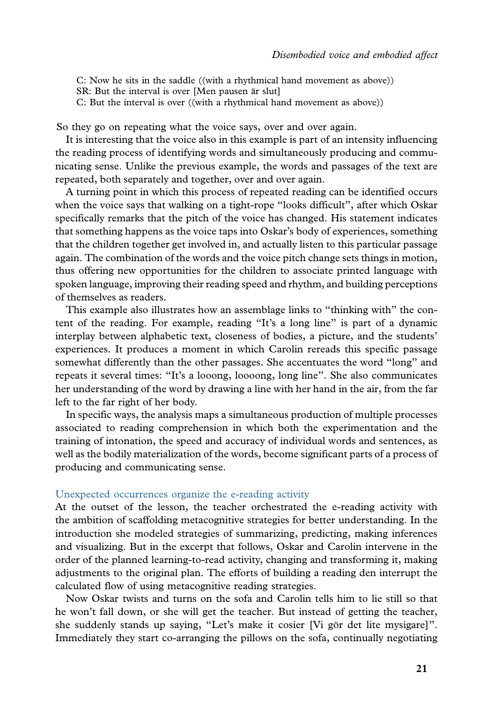C: Now he sits in the saddle ((with a rhythmical hand movement as above))

SR: But the interval is over [Men pausen är slut]

C: But the interval is over ((with a rhythmical hand movement as above))

So they go on repeating what the voice says, over and over again.

It is interesting that the voice also in this example is part of an intensity influencing the reading process of identifying words and simultaneously producing and communicating sense. Unlike the previous example, the words and passages of the text are repeated, both separately and together, over and over again.

A turning point in which this process of repeated reading can be identified occurs when the voice says that walking on a tight-rope ''looks difficult'', after which Oskar specifically remarks that the pitch of the voice has changed. His statement indicates that something happens as the voice taps into Oskar's body of experiences, something that the children together get involved in, and actually listen to this particular passage again. The combination of the words and the voice pitch change sets things in motion, thus offering new opportunities for the children to associate printed language with spoken language, improving their reading speed and rhythm, and building perceptions of themselves as readers.

This example also illustrates how an assemblage links to ''thinking with'' the content of the reading. For example, reading ''It's a long line'' is part of a dynamic interplay between alphabetic text, closeness of bodies, a picture, and the students' experiences. It produces a moment in which Carolin rereads this specific passage somewhat differently than the other passages. She accentuates the word ''long'' and repeats it several times: ''It's a looong, loooong, long line''. She also communicates her understanding of the word by drawing a line with her hand in the air, from the far left to the far right of her body.

In specific ways, the analysis maps a simultaneous production of multiple processes associated to reading comprehension in which both the experimentation and the training of intonation, the speed and accuracy of individual words and sentences, as well as the bodily materialization of the words, become significant parts of a process of producing and communicating sense.

#### Unexpected occurrences organize the e-reading activity

At the outset of the lesson, the teacher orchestrated the e-reading activity with the ambition of scaffolding metacognitive strategies for better understanding. In the introduction she modeled strategies of summarizing, predicting, making inferences and visualizing. But in the excerpt that follows, Oskar and Carolin intervene in the order of the planned learning-to-read activity, changing and transforming it, making adjustments to the original plan. The efforts of building a reading den interrupt the calculated flow of using metacognitive reading strategies.

Now Oskar twists and turns on the sofa and Carolin tells him to lie still so that he won't fall down, or she will get the teacher. But instead of getting the teacher, she suddenly stands up saying, "Let's make it cosier [Vi gör det lite mysigare]". Immediately they start co-arranging the pillows on the sofa, continually negotiating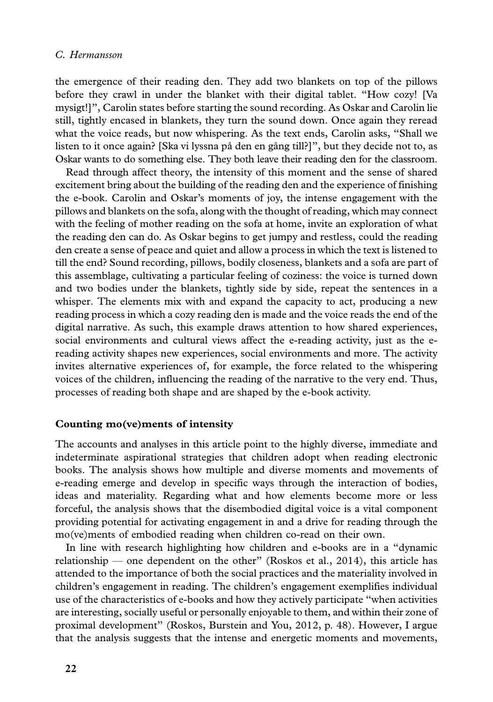the emergence of their reading den. They add two blankets on top of the pillows before they crawl in under the blanket with their digital tablet. ''How cozy! [Va mysigt!]'', Carolin states before starting the sound recording. As Oskar and Carolin lie still, tightly encased in blankets, they turn the sound down. Once again they reread what the voice reads, but now whispering. As the text ends, Carolin asks, ''Shall we listen to it once again? [Ska vi lyssna på den en gång till?]", but they decide not to, as Oskar wants to do something else. They both leave their reading den for the classroom.

Read through affect theory, the intensity of this moment and the sense of shared excitement bring about the building of the reading den and the experience of finishing the e-book. Carolin and Oskar's moments of joy, the intense engagement with the pillows and blankets on the sofa, along with the thought of reading, which may connect with the feeling of mother reading on the sofa at home, invite an exploration of what the reading den can do. As Oskar begins to get jumpy and restless, could the reading den create a sense of peace and quiet and allow a process in which the text is listened to till the end? Sound recording, pillows, bodily closeness, blankets and a sofa are part of this assemblage, cultivating a particular feeling of coziness: the voice is turned down and two bodies under the blankets, tightly side by side, repeat the sentences in a whisper. The elements mix with and expand the capacity to act, producing a new reading process in which a cozy reading den is made and the voice reads the end of the digital narrative. As such, this example draws attention to how shared experiences, social environments and cultural views affect the e-reading activity, just as the ereading activity shapes new experiences, social environments and more. The activity invites alternative experiences of, for example, the force related to the whispering voices of the children, influencing the reading of the narrative to the very end. Thus, processes of reading both shape and are shaped by the e-book activity.

# Counting mo(ve)ments of intensity

The accounts and analyses in this article point to the highly diverse, immediate and indeterminate aspirational strategies that children adopt when reading electronic books. The analysis shows how multiple and diverse moments and movements of e-reading emerge and develop in specific ways through the interaction of bodies, ideas and materiality. Regarding what and how elements become more or less forceful, the analysis shows that the disembodied digital voice is a vital component providing potential for activating engagement in and a drive for reading through the mo(ve)ments of embodied reading when children co-read on their own.

In line with research highlighting how children and e-books are in a ''dynamic relationship — one dependent on the other" (Roskos et al., 2014), this article has attended to the importance of both the social practices and the materiality involved in children's engagement in reading. The children's engagement exemplifies individual use of the characteristics of e-books and how they actively participate ''when activities are interesting, socially useful or personally enjoyable to them, and within their zone of proximal development'' (Roskos, Burstein and You, 2012, p. 48). However, I argue that the analysis suggests that the intense and energetic moments and movements,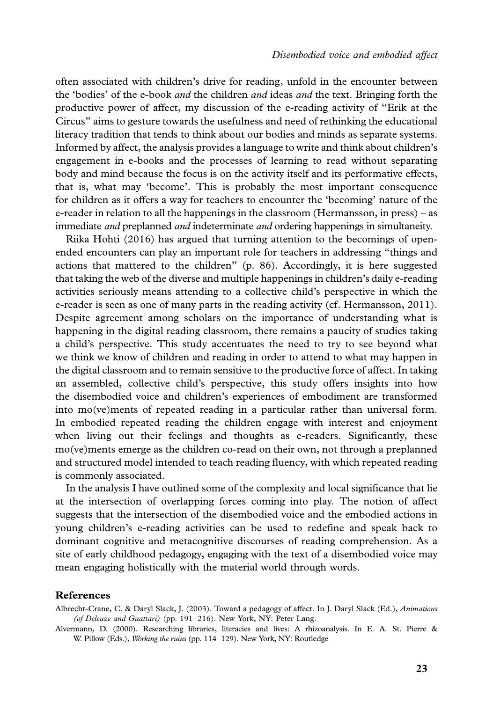often associated with children's drive for reading, unfold in the encounter between the 'bodies' of the e-book *and* the children *and* ideas *and* the text. Bringing forth the productive power of affect, my discussion of the e-reading activity of ''Erik at the Circus'' aims to gesture towards the usefulness and need of rethinking the educational literacy tradition that tends to think about our bodies and minds as separate systems. Informed by affect, the analysis provides a language to write and think about children's engagement in e-books and the processes of learning to read without separating body and mind because the focus is on the activity itself and its performative effects, that is, what may 'become'. This is probably the most important consequence for children as it offers a way for teachers to encounter the 'becoming' nature of the e-reader in relation to all the happenings in the classroom (Hermansson, in press) - as immediate and preplanned and indeterminate and ordering happenings in simultaneity.

Riika Hohti (2016) has argued that turning attention to the becomings of openended encounters can play an important role for teachers in addressing ''things and actions that mattered to the children'' (p. 86). Accordingly, it is here suggested that taking the web of the diverse and multiple happenings in children's daily e-reading activities seriously means attending to a collective child's perspective in which the e-reader is seen as one of many parts in the reading activity (cf. Hermansson, 2011). Despite agreement among scholars on the importance of understanding what is happening in the digital reading classroom, there remains a paucity of studies taking a child's perspective. This study accentuates the need to try to see beyond what we think we know of children and reading in order to attend to what may happen in the digital classroom and to remain sensitive to the productive force of affect. In taking an assembled, collective child's perspective, this study offers insights into how the disembodied voice and children's experiences of embodiment are transformed into mo(ve)ments of repeated reading in a particular rather than universal form. In embodied repeated reading the children engage with interest and enjoyment when living out their feelings and thoughts as e-readers. Significantly, these mo(ve)ments emerge as the children co-read on their own, not through a preplanned and structured model intended to teach reading fluency, with which repeated reading is commonly associated.

In the analysis I have outlined some of the complexity and local significance that lie at the intersection of overlapping forces coming into play. The notion of affect suggests that the intersection of the disembodied voice and the embodied actions in young children's e-reading activities can be used to redefine and speak back to dominant cognitive and metacognitive discourses of reading comprehension. As a site of early childhood pedagogy, engaging with the text of a disembodied voice may mean engaging holistically with the material world through words.

#### References

Albrecht-Crane, C. & Daryl Slack, J. (2003). Toward a pedagogy of affect. In J. Daryl Slack (Ed.), Animations (of Deleuze and Guattari) (pp. 191-216). New York, NY: Peter Lang.

Alvermann, D. (2000). Researching libraries, literacies and lives: A rhizoanalysis. In E. A. St. Pierre & W. Pillow (Eds.), Working the ruins (pp. 114-129). New York, NY: Routledge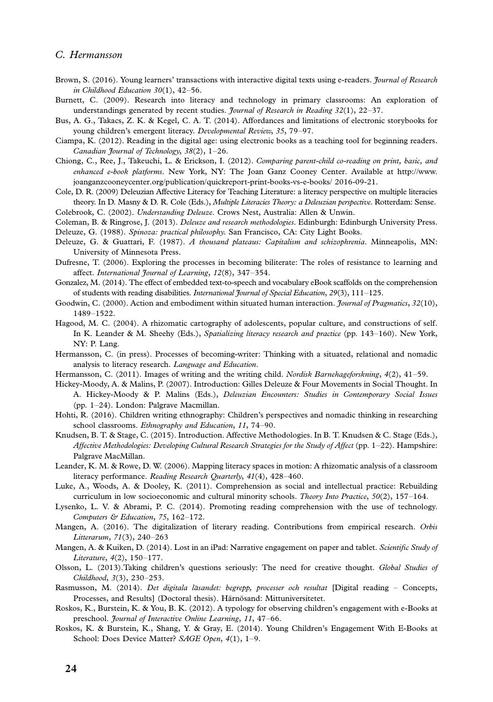- Brown, S. (2016). Young learners' transactions with interactive digital texts using e-readers. *Journa[l of Research](http://www.joanganzcooneycenter.org/publication/quickreport-print-books-vs-e-books/ 2016-09-21)* [in Childhood Education 30](http://www.joanganzcooneycenter.org/publication/quickreport-print-books-vs-e-books/ 2016-09-21)(1), 42-56.
- Burnett, C. (2009). Research into literacy and technology in primary classrooms: An exploration of understandings generated by recent studies. *Journal of Research in Reading 32*(1), 22–37.
- Bus, A. G., Takacs, Z. K. & Kegel, C. A. T. (2014). Affordances and limitations of electronic storybooks for young children's emergent literacy. Developmental Review, 35, 79-97.
- Ciampa, K. (2012). Reading in the digital age: using electronic books as a teaching tool for beginning readers. Canadian Journal of Technology, 38(2), 1-26.
- Chiong, C., Ree, J., Takeuchi, L. & Erickson, I. (2012). Comparing parent-child co-reading on print, basic, and enhanced e-book platforms. New York, NY: The Joan Ganz Cooney Center. Available at http://www. joanganzcooneycenter.org/publication/quickreport-print-books-vs-e-books/ 2016-09-21.
- Cole, D. R. (2009) Deleuzian Affective Literacy for Teaching Literature: a literacy perspective on multiple literacies theory. In D. Masny & D. R. Cole (Eds.), Multiple Literacies Theory: a Deleuzian perspective. Rotterdam: Sense. Colebrook, C. (2002). Understanding Deleuze. Crows Nest, Australia: Allen & Unwin.

Coleman, B. & Ringrose, J. (2013). Deleuze and research methodologies. Edinburgh: Edinburgh University Press. Deleuze, G. (1988). Spinoza: practical philosophy. San Francisco, CA: City Light Books.

- Deleuze, G. & Guattari, F. (1987). A thousand plateaus: Capitalism and schizophrenia. Minneapolis, MN: University of Minnesota Press.
- Dufresne, T. (2006). Exploring the processes in becoming biliterate: The roles of resistance to learning and affect. International Journal of Learning, 12(8), 347-354.
- Gonzalez, M. (2014). The effect of embedded text-to-speech and vocabulary eBook scaffolds on the comprehension of students with reading disabilities. International Journal of Special Education, 29(3), 111-125.
- Goodwin, C. (2000). Action and embodiment within situated human interaction. *Journal of Pragmatics*, 32(10), 1489-1522.
- Hagood, M. C. (2004). A rhizomatic cartography of adolescents, popular culture, and constructions of self. In K. Leander & M. Sheehy (Eds.), Spatializing literacy research and practice (pp. 143-160). New York, NY: P. Lang.
- Hermansson, C. (in press). Processes of becoming-writer: Thinking with a situated, relational and nomadic analysis to literacy research. Language and Education.
- Hermansson, C. (2011). Images of writing and the writing child. Nordisk Barnehageforskning, 4(2), 41-59.
- Hickey-Moody, A. & Malins, P. (2007). Introduction: Gilles Deleuze & Four Movements in Social Thought. In A. Hickey-Moody & P. Malins (Eds.), Deleuzian Encounters: Studies in Contemporary Social Issues (pp. 1-24). London: Palgrave Macmillan.
- Hohti, R. (2016). Children writing ethnography: Children's perspectives and nomadic thinking in researching school classrooms. Ethnography and Education, 11, 74-90.
- Knudsen, B. T. & Stage, C. (2015). Introduction. Affective Methodologies. In B. T. Knudsen & C. Stage (Eds.), Affective Methodologies: Developing Cultural Research Strategies for the Study of Affect (pp. 1-22). Hampshire: Palgrave MacMillan.
- Leander, K. M. & Rowe, D. W. (2006). Mapping literacy spaces in motion: A rhizomatic analysis of a classroom literacy performance. Reading Research Quarterly, 41(4), 428-460.
- Luke, A., Woods, A. & Dooley, K. (2011). Comprehension as social and intellectual practice: Rebuilding curriculum in low socioeconomic and cultural minority schools. Theory Into Practice, 50(2), 157-164.
- Lysenko, L. V. & Abrami, P. C. (2014). Promoting reading comprehension with the use of technology. Computers & Education, 75, 162-172.
- Mangen, A. (2016). The digitalization of literary reading. Contributions from empirical research. Orbis Litterarum, 71(3), 240-263
- Mangen, A. & Kuiken, D. (2014). Lost in an iPad: Narrative engagement on paper and tablet. Scientific Study of Literature, 4(2), 150-177.
- Olsson, L. (2013).Taking children's questions seriously: The need for creative thought. Global Studies of Childhood, 3(3), 230-253.
- Rasmusson, M. (2014). Det digitala läsandet: begrepp, processer och resultat [Digital reading Concepts, Processes, and Results] (Doctoral thesis). Härnösand: Mittuniversitetet.
- Roskos, K., Burstein, K. & You, B. K. (2012). A typology for observing children's engagement with e-Books at preschool. Journal of Interactive Online Learning, 11, 47-66.
- Roskos, K. & Burstein, K., Shang, Y. & Gray, E. (2014). Young Children's Engagement With E-Books at School: Does Device Matter? SAGE Open, 4(1), 1-9.